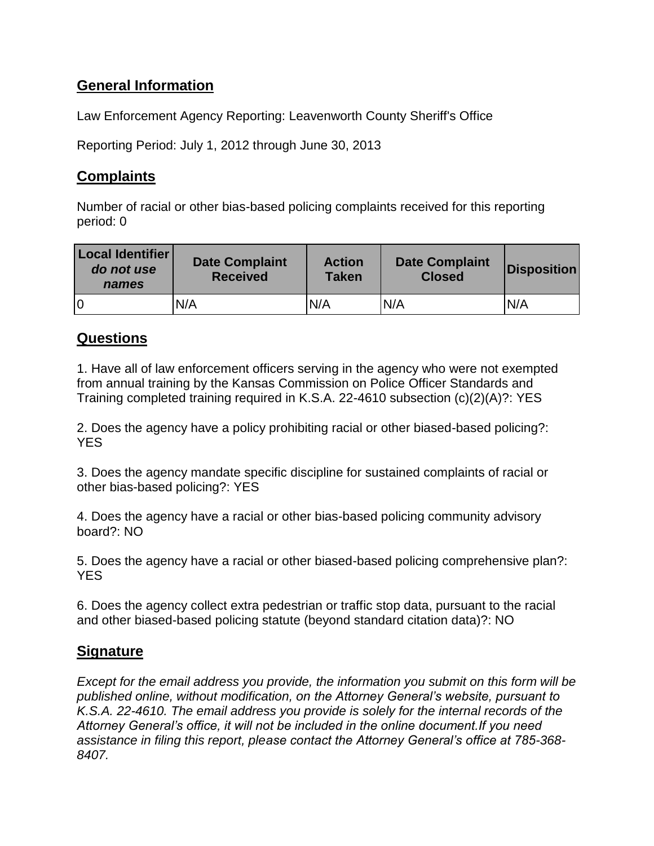# **General Information**

Law Enforcement Agency Reporting: Leavenworth County Sheriff's Office

Reporting Period: July 1, 2012 through June 30, 2013

# **Complaints**

Number of racial or other bias-based policing complaints received for this reporting period: 0

| Local Identifier<br>do not use<br>names | <b>Date Complaint</b><br><b>Received</b> | <b>Action</b><br><b>Taken</b> | <b>Date Complaint</b><br><b>Closed</b> | <b>Disposition</b> |
|-----------------------------------------|------------------------------------------|-------------------------------|----------------------------------------|--------------------|
|                                         | N/A                                      | N/A                           | N/A                                    | N/A                |

## **Questions**

1. Have all of law enforcement officers serving in the agency who were not exempted from annual training by the Kansas Commission on Police Officer Standards and Training completed training required in K.S.A. 22-4610 subsection (c)(2)(A)?: YES

2. Does the agency have a policy prohibiting racial or other biased-based policing?: YES

3. Does the agency mandate specific discipline for sustained complaints of racial or other bias-based policing?: YES

4. Does the agency have a racial or other bias-based policing community advisory board?: NO

5. Does the agency have a racial or other biased-based policing comprehensive plan?: YES

6. Does the agency collect extra pedestrian or traffic stop data, pursuant to the racial and other biased-based policing statute (beyond standard citation data)?: NO

## **Signature**

*Except for the email address you provide, the information you submit on this form will be published online, without modification, on the Attorney General's website, pursuant to K.S.A. 22-4610. The email address you provide is solely for the internal records of the Attorney General's office, it will not be included in the online document.If you need assistance in filing this report, please contact the Attorney General's office at 785-368- 8407.*